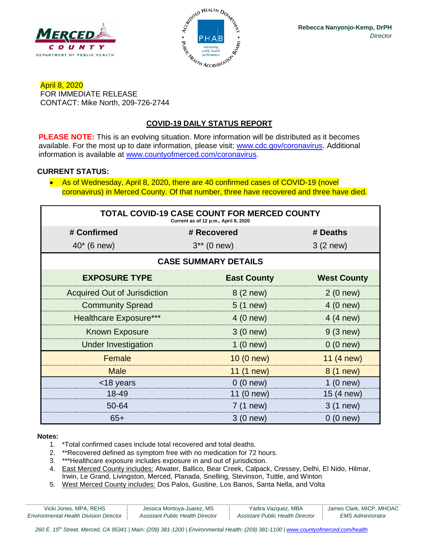



April 8, 2020 FOR IMMEDIATE RELEASE CONTACT: Mike North, 209-726-2744

# **COVID-19 DAILY STATUS REPORT**

**PLEASE NOTE:** This is an evolving situation. More information will be distributed as it becomes available. For the most up to date information, please visit: [www.cdc.gov/coronavirus.](http://www.cdc.gov/coronavirus) Additional information is available at [www.countyofmerced.com/coronavirus.](http://www.countyofmerced.com/coronavirus)

### **CURRENT STATUS:**

• As of Wednesday, April 8, 2020, there are 40 confirmed cases of COVID-19 (novel coronavirus) in Merced County. Of that number, three have recovered and three have died.

| TOTAL COVID-19 CASE COUNT FOR MERCED COUNTY<br>Current as of 12 p.m., April 8, 2020 |                    |                    |  |  |
|-------------------------------------------------------------------------------------|--------------------|--------------------|--|--|
| # Confirmed                                                                         | # Recovered        | # Deaths           |  |  |
| $40* (6 new)$                                                                       | $3**$ (0 new)      | $3(2$ new)         |  |  |
| <b>CASE SUMMARY DETAILS</b>                                                         |                    |                    |  |  |
| <b>EXPOSURE TYPE</b>                                                                | <b>East County</b> | <b>West County</b> |  |  |
| <b>Acquired Out of Jurisdiction</b>                                                 | 8 (2 new)          | 2(0 new)           |  |  |
| <b>Community Spread</b>                                                             | $5(1)$ new)        | 4 (0 new)          |  |  |
| <b>Healthcare Exposure***</b>                                                       | 4 (0 new)          | 4 (4 new)          |  |  |
| <b>Known Exposure</b>                                                               | 3(0 new)           | 9(3 new)           |  |  |
| <b>Under Investigation</b>                                                          | 1(0 new)           | 0(0 new)           |  |  |
| Female                                                                              | 10 (0 new)         | 11 (4 new)         |  |  |
| <b>Male</b>                                                                         | 11 (1 new)         | 8 (1 new)          |  |  |
| <18 years                                                                           | 0(0 new)           | 1(0 new)           |  |  |
| 18-49                                                                               | 11 (0 new)         | 15 (4 new)         |  |  |
| 50-64                                                                               | 7 (1 new)          | 3 (1 new)          |  |  |
| $65+$                                                                               | 3 (0 new)          | $0(0$ new)         |  |  |

#### **Notes:**

- 1. \*Total confirmed cases include total recovered and total deaths.
- 2. \*\*Recovered defined as symptom free with no medication for 72 hours.
- 3. \*\*\*Healthcare exposure includes exposure in and out of jurisdiction.
- 4. East Merced County includes: Atwater, Ballico, Bear Creek, Calpack, Cressey, Delhi, El Nido, Hilmar, Irwin, Le Grand, Livingston, Merced, Planada, Snelling, Stevinson, Tuttle, and Winton
- 5. West Merced County includes: Dos Palos, Gustine, Los Banos, Santa Nella, and Volta

| Vicki Jones, MPA, REHS                        | Jessica Montoya-Juarez, MS       | Yadira Vazquez, MBA              | James Clark, MICP, MHOAC |
|-----------------------------------------------|----------------------------------|----------------------------------|--------------------------|
| <b>Environmental Health Division Director</b> | Assistant Public Health Director | Assistant Public Health Director | EMS Administrator        |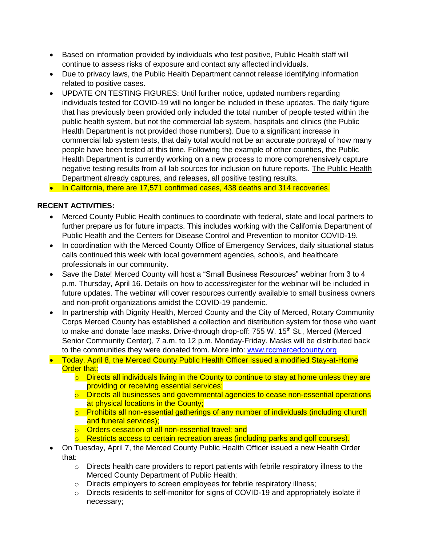- Based on information provided by individuals who test positive, Public Health staff will continue to assess risks of exposure and contact any affected individuals.
- Due to privacy laws, the Public Health Department cannot release identifying information related to positive cases.
- UPDATE ON TESTING FIGURES: Until further notice, updated numbers regarding individuals tested for COVID-19 will no longer be included in these updates. The daily figure that has previously been provided only included the total number of people tested within the public health system, but not the commercial lab system, hospitals and clinics (the Public Health Department is not provided those numbers). Due to a significant increase in commercial lab system tests, that daily total would not be an accurate portrayal of how many people have been tested at this time. Following the example of other counties, the Public Health Department is currently working on a new process to more comprehensively capture negative testing results from all lab sources for inclusion on future reports. The Public Health Department already captures, and releases, all positive testing results.

• In California, there are 17,571 confirmed cases, 438 deaths and 314 recoveries.

### **RECENT ACTIVITIES:**

- Merced County Public Health continues to coordinate with federal, state and local partners to further prepare us for future impacts. This includes working with the California Department of Public Health and the Centers for Disease Control and Prevention to monitor COVID-19.
- In coordination with the Merced County Office of Emergency Services, daily situational status calls continued this week with local government agencies, schools, and healthcare professionals in our community.
- Save the Date! Merced County will host a "Small Business Resources" webinar from 3 to 4 p.m. Thursday, April 16. Details on how to access/register for the webinar will be included in future updates. The webinar will cover resources currently available to small business owners and non-profit organizations amidst the COVID-19 pandemic.
- In partnership with Dignity Health, Merced County and the City of Merced, Rotary Community Corps Merced County has established a collection and distribution system for those who want to make and donate face masks. Drive-through drop-off: 755 W. 15<sup>th</sup> St., Merced (Merced Senior Community Center), 7 a.m. to 12 p.m. Monday-Friday. Masks will be distributed back to the communities they were donated from. More info: [www.rccmercedcounty.org](http://www.rccmercedcounty.org/)
- Today, April 8, the Merced County Public Health Officer issued a modified Stay-at-Home **Order that:** 
	- $\circ$  Directs all individuals living in the County to continue to stay at home unless they are providing or receiving essential services;
	- $\circ$  Directs all businesses and governmental agencies to cease non-essential operations at physical locations in the County;
	- o Prohibits all non-essential gatherings of any number of individuals (including church and funeral services);
	- o Orders cessation of all non-essential travel; and
	- $\circ$  Restricts access to certain recreation areas (including parks and golf courses).
- On Tuesday, April 7, the Merced County Public Health Officer issued a new Health Order that:
	- o Directs health care providers to report patients with febrile respiratory illness to the Merced County Department of Public Health;
	- o Directs employers to screen employees for febrile respiratory illness;
	- o Directs residents to self-monitor for signs of COVID-19 and appropriately isolate if necessary;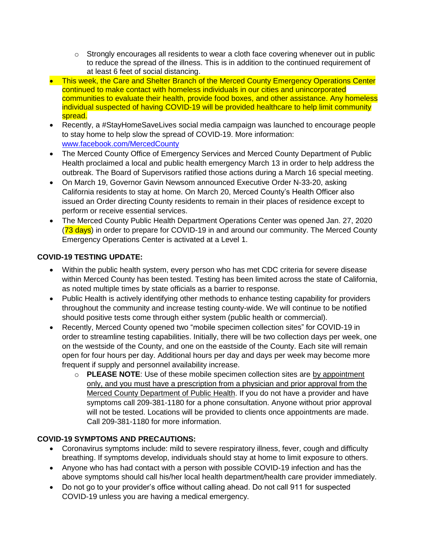- $\circ$  Strongly encourages all residents to wear a cloth face covering whenever out in public to reduce the spread of the illness. This is in addition to the continued requirement of at least 6 feet of social distancing.
- This week, the Care and Shelter Branch of the Merced County Emergency Operations Center continued to make contact with homeless individuals in our cities and unincorporated communities to evaluate their health, provide food boxes, and other assistance. Any homeless individual suspected of having COVID-19 will be provided healthcare to help limit community spread.
- Recently, a #StayHomeSaveLives social media campaign was launched to encourage people to stay home to help slow the spread of COVID-19. More information: [www.facebook.com/MercedCounty](http://www.facebook.com/MercedCounty)
- The Merced County Office of Emergency Services and Merced County Department of Public Health proclaimed a local and public health emergency March 13 in order to help address the outbreak. The Board of Supervisors ratified those actions during a March 16 special meeting.
- On March 19, Governor Gavin Newsom announced Executive Order N-33-20, asking California residents to stay at home. On March 20, Merced County's Health Officer also issued an Order directing County residents to remain in their places of residence except to perform or receive essential services.
- The Merced County Public Health Department Operations Center was opened Jan. 27, 2020 (73 days) in order to prepare for COVID-19 in and around our community. The Merced County Emergency Operations Center is activated at a Level 1.

# **COVID-19 TESTING UPDATE:**

- Within the public health system, every person who has met CDC criteria for severe disease within Merced County has been tested. Testing has been limited across the state of California, as noted multiple times by state officials as a barrier to response.
- Public Health is actively identifying other methods to enhance testing capability for providers throughout the community and increase testing county-wide. We will continue to be notified should positive tests come through either system (public health or commercial).
- Recently, Merced County opened two "mobile specimen collection sites" for COVID-19 in order to streamline testing capabilities. Initially, there will be two collection days per week, one on the westside of the County, and one on the eastside of the County. Each site will remain open for four hours per day. Additional hours per day and days per week may become more frequent if supply and personnel availability increase.
	- o **PLEASE NOTE**: Use of these mobile specimen collection sites are by appointment only, and you must have a prescription from a physician and prior approval from the Merced County Department of Public Health. If you do not have a provider and have symptoms call 209-381-1180 for a phone consultation. Anyone without prior approval will not be tested. Locations will be provided to clients once appointments are made. Call 209-381-1180 for more information.

## **COVID-19 SYMPTOMS AND PRECAUTIONS:**

- Coronavirus symptoms include: mild to severe respiratory illness, fever, cough and difficulty breathing. If symptoms develop, individuals should stay at home to limit exposure to others.
- Anyone who has had contact with a person with possible COVID-19 infection and has the above symptoms should call his/her local health department/health care provider immediately.
- Do not go to your provider's office without calling ahead. Do not call 911 for suspected COVID-19 unless you are having a medical emergency.